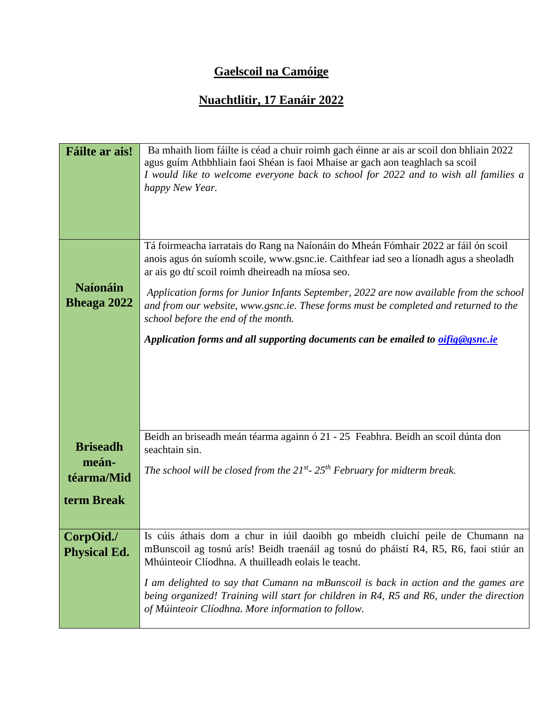## **Gaelscoil na Camóige**

## **Nuachtlitir, 17 Eanáir 2022**

| <b>Fáilte ar ais!</b>                 | Ba mhaith liom fáilte is céad a chuir roimh gach éinne ar ais ar scoil don bhliain 2022<br>agus guím Athbhliain faoi Shéan is faoi Mhaise ar gach aon teaghlach sa scoil<br>I would like to welcome everyone back to school for 2022 and to wish all families a<br>happy New Year. |
|---------------------------------------|------------------------------------------------------------------------------------------------------------------------------------------------------------------------------------------------------------------------------------------------------------------------------------|
|                                       | Tá foirmeacha iarratais do Rang na Naíonáin do Mheán Fómhair 2022 ar fáil ón scoil<br>anois agus ón suíomh scoile, www.gsnc.ie. Caithfear iad seo a líonadh agus a sheoladh<br>ar ais go dtí scoil roimh dheireadh na míosa seo.                                                   |
| <b>Naíonáin</b><br><b>Bheaga 2022</b> | Application forms for Junior Infants September, 2022 are now available from the school<br>and from our website, www.gsnc.ie. These forms must be completed and returned to the<br>school before the end of the month.                                                              |
|                                       | Application forms and all supporting documents can be emailed to <i>oifig@gsnc.ie</i>                                                                                                                                                                                              |
| <b>Briseadh</b>                       | Beidh an briseadh meán téarma againn ó 21 - 25 Feabhra. Beidh an scoil dúnta don<br>seachtain sin.                                                                                                                                                                                 |
| meán-<br>téarma/Mid                   | The school will be closed from the $21^{st}$ - $25^{th}$ February for midterm break.                                                                                                                                                                                               |
| term Break                            |                                                                                                                                                                                                                                                                                    |
| CorpOid./<br><b>Physical Ed.</b>      | Is cúis áthais dom a chur in iúil daoibh go mbeidh cluichí peile de Chumann na<br>mBunscoil ag tosnú arís! Beidh traenáil ag tosnú do pháistí R4, R5, R6, faoi stiúr an<br>Mhúinteoir Clíodhna. A thuilleadh eolais le teacht.                                                     |
|                                       | I am delighted to say that Cumann na mBunscoil is back in action and the games are<br>being organized! Training will start for children in R4, R5 and R6, under the direction<br>of Múinteoir Clíodhna. More information to follow.                                                |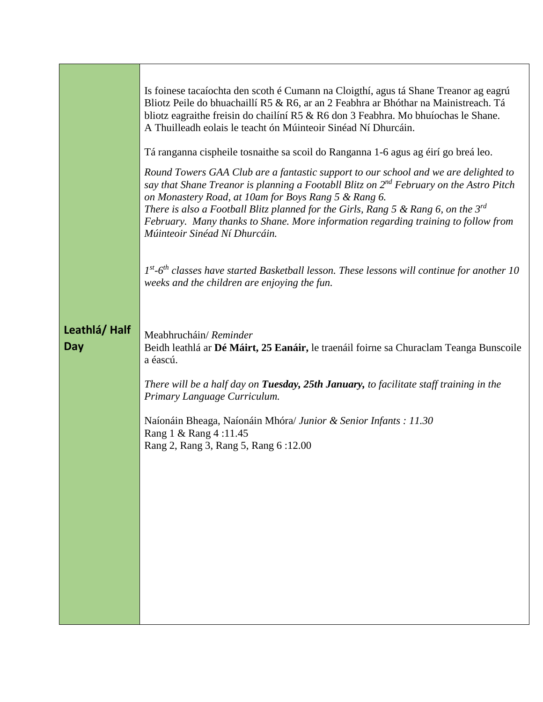|                     | Is foinese tacaíochta den scoth é Cumann na Cloigthí, agus tá Shane Treanor ag eagrú<br>Bliotz Peile do bhuachaillí R5 & R6, ar an 2 Feabhra ar Bhóthar na Mainistreach. Tá<br>bliotz eagraithe freisin do chailíní R5 & R6 don 3 Feabhra. Mo bhuíochas le Shane.<br>A Thuilleadh eolais le teacht ón Múinteoir Sinéad Ní Dhurcáin.<br>Tá ranganna cispheile tosnaithe sa scoil do Ranganna 1-6 agus ag éirí go breá leo.<br>Round Towers GAA Club are a fantastic support to our school and we are delighted to |
|---------------------|------------------------------------------------------------------------------------------------------------------------------------------------------------------------------------------------------------------------------------------------------------------------------------------------------------------------------------------------------------------------------------------------------------------------------------------------------------------------------------------------------------------|
|                     | say that Shane Treanor is planning a Footabll Blitz on $2^{nd}$ February on the Astro Pitch<br>on Monastery Road, at 10am for Boys Rang 5 & Rang 6.<br>There is also a Football Blitz planned for the Girls, Rang 5 & Rang 6, on the $3^{rd}$<br>February. Many thanks to Shane. More information regarding training to follow from<br>Múinteoir Sinéad Ní Dhurcáin.                                                                                                                                             |
|                     | $Ist-Gth$ classes have started Basketball lesson. These lessons will continue for another 10<br>weeks and the children are enjoying the fun.                                                                                                                                                                                                                                                                                                                                                                     |
| Leathlá/Half<br>Day | Meabhrucháin/ Reminder<br>Beidh leathlá ar Dé Máirt, 25 Eanáir, le traenáil foirne sa Churaclam Teanga Bunscoile<br>a éascú.                                                                                                                                                                                                                                                                                                                                                                                     |
|                     | There will be a half day on Tuesday, 25th January, to facilitate staff training in the<br>Primary Language Curriculum.                                                                                                                                                                                                                                                                                                                                                                                           |
|                     | Naíonáin Bheaga, Naíonáin Mhóra/ Junior & Senior Infants : 11.30<br>Rang 1 & Rang 4:11.45<br>Rang 2, Rang 3, Rang 5, Rang 6:12.00                                                                                                                                                                                                                                                                                                                                                                                |
|                     |                                                                                                                                                                                                                                                                                                                                                                                                                                                                                                                  |
|                     |                                                                                                                                                                                                                                                                                                                                                                                                                                                                                                                  |
|                     |                                                                                                                                                                                                                                                                                                                                                                                                                                                                                                                  |
|                     |                                                                                                                                                                                                                                                                                                                                                                                                                                                                                                                  |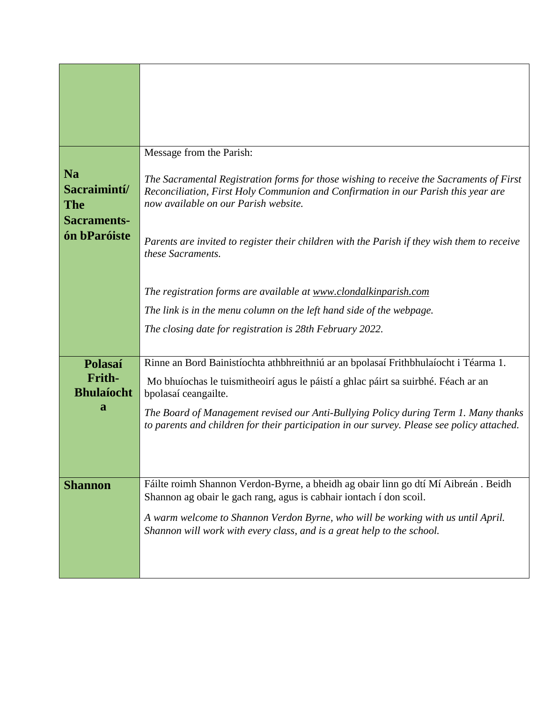|                                                                               | Message from the Parish:                                                                                                                                                                                             |
|-------------------------------------------------------------------------------|----------------------------------------------------------------------------------------------------------------------------------------------------------------------------------------------------------------------|
| <b>Na</b><br>Sacraimintí/<br><b>The</b><br><b>Sacraments-</b><br>ón bParóiste | The Sacramental Registration forms for those wishing to receive the Sacraments of First<br>Reconciliation, First Holy Communion and Confirmation in our Parish this year are<br>now available on our Parish website. |
|                                                                               | Parents are invited to register their children with the Parish if they wish them to receive<br>these Sacraments.                                                                                                     |
|                                                                               | The registration forms are available at www.clondalkinparish.com                                                                                                                                                     |
|                                                                               | The link is in the menu column on the left hand side of the webpage.                                                                                                                                                 |
|                                                                               | The closing date for registration is 28th February 2022.                                                                                                                                                             |
|                                                                               |                                                                                                                                                                                                                      |
| Polasaí                                                                       | Rinne an Bord Bainistíochta athbhreithniú ar an bpolasaí Frithbhulaíocht i Téarma 1.                                                                                                                                 |
| Frith-<br><b>Bhulaíocht</b>                                                   | Mo bhuíochas le tuismitheoirí agus le páistí a ghlac páirt sa suirbhé. Féach ar an<br>bpolasaí ceangailte.                                                                                                           |
| a                                                                             | The Board of Management revised our Anti-Bullying Policy during Term 1. Many thanks<br>to parents and children for their participation in our survey. Please see policy attached.                                    |
|                                                                               |                                                                                                                                                                                                                      |
| <b>Shannon</b>                                                                | Fáilte roimh Shannon Verdon-Byrne, a bheidh ag obair linn go dtí Mí Aibreán. Beidh<br>Shannon ag obair le gach rang, agus is cabhair iontach í don scoil.                                                            |
|                                                                               | A warm welcome to Shannon Verdon Byrne, who will be working with us until April.<br>Shannon will work with every class, and is a great help to the school.                                                           |
|                                                                               |                                                                                                                                                                                                                      |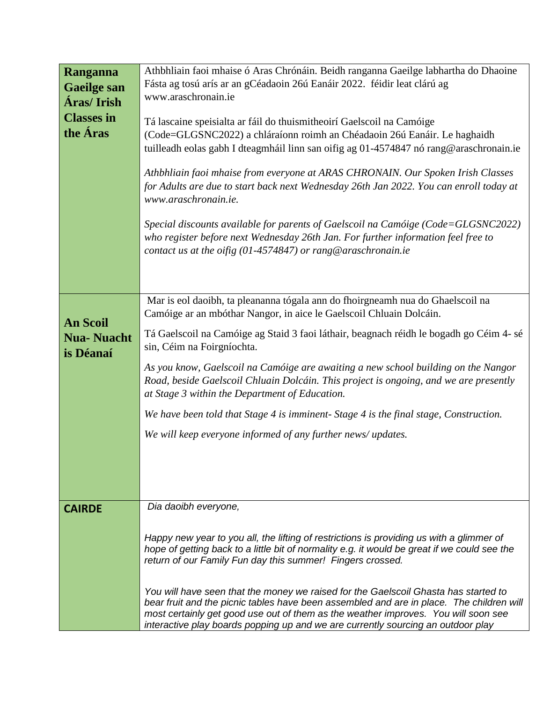| Ranganna           | Athbhliain faoi mhaise ó Aras Chrónáin. Beidh ranganna Gaeilge labhartha do Dhaoine                                                                                                      |
|--------------------|------------------------------------------------------------------------------------------------------------------------------------------------------------------------------------------|
| <b>Gaeilge san</b> | Fásta ag tosú arís ar an gCéadaoin 26ú Eanáir 2022. féidir leat clárú ag                                                                                                                 |
|                    | www.araschronain.ie                                                                                                                                                                      |
| Áras/Irish         |                                                                                                                                                                                          |
| <b>Classes in</b>  | Tá lascaine speisialta ar fáil do thuismitheoirí Gaelscoil na Camóige                                                                                                                    |
| the <b>Áras</b>    | (Code=GLGSNC2022) a chláraíonn roimh an Chéadaoin 26ú Eanáir. Le haghaidh                                                                                                                |
|                    |                                                                                                                                                                                          |
|                    | tuilleadh eolas gabh I dteagmháil linn san oifig ag 01-4574847 nó rang@araschronain.ie                                                                                                   |
|                    |                                                                                                                                                                                          |
|                    | Athbhliain faoi mhaise from everyone at ARAS CHRONAIN. Our Spoken Irish Classes                                                                                                          |
|                    | for Adults are due to start back next Wednesday 26th Jan 2022. You can enroll today at                                                                                                   |
|                    | www.araschronain.ie.                                                                                                                                                                     |
|                    |                                                                                                                                                                                          |
|                    | Special discounts available for parents of Gaelscoil na Camóige (Code=GLGSNC2022)                                                                                                        |
|                    | who register before next Wednesday 26th Jan. For further information feel free to                                                                                                        |
|                    |                                                                                                                                                                                          |
|                    | contact us at the oifig $(01-4574847)$ or rang@araschronain.ie                                                                                                                           |
|                    |                                                                                                                                                                                          |
|                    |                                                                                                                                                                                          |
|                    |                                                                                                                                                                                          |
|                    | Mar is eol daoibh, ta pleananna tógala ann do fhoirgneamh nua do Ghaelscoil na                                                                                                           |
|                    | Camóige ar an mbóthar Nangor, in aice le Gaelscoil Chluain Dolcáin.                                                                                                                      |
| <b>An Scoil</b>    |                                                                                                                                                                                          |
| <b>Nua-Nuacht</b>  | Tá Gaelscoil na Camóige ag Staid 3 faoi láthair, beagnach réidh le bogadh go Céim 4-sé                                                                                                   |
| is Déanaí          | sin, Céim na Foirgníochta.                                                                                                                                                               |
|                    |                                                                                                                                                                                          |
|                    | As you know, Gaelscoil na Camóige are awaiting a new school building on the Nangor                                                                                                       |
|                    | Road, beside Gaelscoil Chluain Dolcáin. This project is ongoing, and we are presently                                                                                                    |
|                    | at Stage 3 within the Department of Education.                                                                                                                                           |
|                    | We have been told that Stage 4 is imminent- Stage 4 is the final stage, Construction.                                                                                                    |
|                    |                                                                                                                                                                                          |
|                    | We will keep everyone informed of any further news/updates.                                                                                                                              |
|                    |                                                                                                                                                                                          |
|                    |                                                                                                                                                                                          |
|                    |                                                                                                                                                                                          |
|                    |                                                                                                                                                                                          |
|                    |                                                                                                                                                                                          |
| <b>CAIRDE</b>      | Dia daoibh everyone,                                                                                                                                                                     |
|                    |                                                                                                                                                                                          |
|                    |                                                                                                                                                                                          |
|                    | Happy new year to you all, the lifting of restrictions is providing us with a glimmer of<br>hope of getting back to a little bit of normality e.g. it would be great if we could see the |
|                    | return of our Family Fun day this summer! Fingers crossed.                                                                                                                               |
|                    |                                                                                                                                                                                          |
|                    |                                                                                                                                                                                          |
|                    | You will have seen that the money we raised for the Gaelscoil Ghasta has started to                                                                                                      |
|                    | bear fruit and the picnic tables have been assembled and are in place. The children will                                                                                                 |
|                    | most certainly get good use out of them as the weather improves. You will soon see                                                                                                       |
|                    | interactive play boards popping up and we are currently sourcing an outdoor play                                                                                                         |